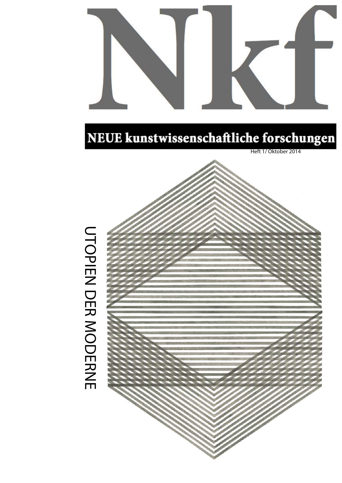

## NEUE kunstwissenschaftliche forschungen

Heft 1/ O ktober 2014



## **UTOPIEN DER MODERNE** UTOPIEN DER MODERNE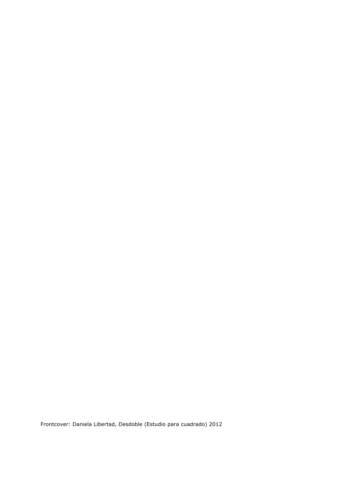Frontcover: Daniela Libertad, Desdoble (Estudio para cuadrado) 2012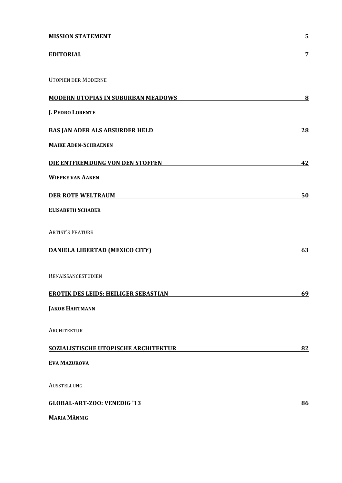| 7  |
|----|
|    |
|    |
| 8  |
|    |
| 28 |
|    |
| 42 |
|    |
| 50 |
|    |
|    |
| 63 |
|    |
| 69 |
|    |
|    |
| 82 |
|    |
|    |
| 86 |
|    |

**MARIA MÄNNIG**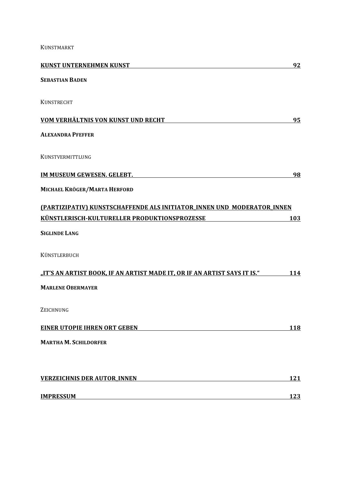KUNSTMARKT

| <b>KUNST UNTERNEHMEN KUNST</b>                                           | 92  |
|--------------------------------------------------------------------------|-----|
| <b>SEBASTIAN BADEN</b>                                                   |     |
| <b>KUNSTRECHT</b>                                                        |     |
| VOM VERHÄLTNIS VON KUNST UND RECHT                                       | 95  |
| <b>ALEXANDRA PFEFFER</b>                                                 |     |
| KUNSTVERMITTLUNG                                                         |     |
| IM MUSEUM GEWESEN. GELEBT.                                               | 98  |
| MICHAEL KRÖGER/MARTA HERFORD                                             |     |
| (PARTIZIPATIV) KUNSTSCHAFFENDE ALS INITIATOR INNEN UND MODERATOR INNEN   |     |
| KÜNSTLERISCH-KULTURELLER PRODUKTIONSPROZESSE                             | 103 |
| <b>SIGLINDE LANG</b>                                                     |     |
| KÜNSTLERBUCH                                                             |     |
| "IT'S AN ARTIST BOOK, IF AN ARTIST MADE IT, OR IF AN ARTIST SAYS IT IS." | 114 |
| <b>MARLENE OBERMAYER</b>                                                 |     |
| ZEICHNUNG                                                                |     |
| EINER UTOPIE IHREN ORT GEBEN                                             | 118 |
| <b>MARTHA M. SCHILDORFER</b>                                             |     |
|                                                                          |     |
| <b>VERZEICHNIS DER AUTOR_INNEN</b>                                       | 121 |
| <b>IMPRESSUM</b>                                                         | 123 |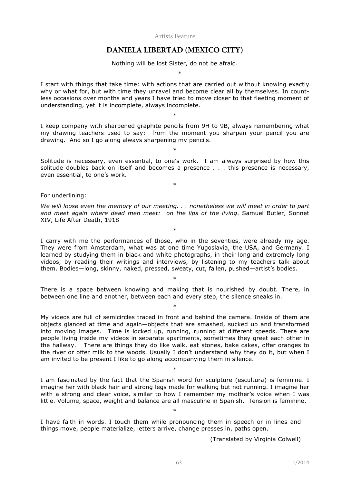Artists Feature

## **DANIELA LIBERTAD (MEXICO CITY)**

Nothing will be lost Sister, do not be afraid.  $\overline{\phantom{a}}$ 

I start with things that take time: with actions that are carried out without knowing exactly why or what for, but with time they unravel and become clear all by themselves. In countless occasions over months and years I have tried to move closer to that fleeting moment of understanding, yet it is incomplete, always incomplete.

I keep company with sharpened graphite pencils from 9H to 9B, always remembering what my drawing teachers used to say: from the moment you sharpen your pencil you are drawing. And so I go along always sharpening my pencils.

\*

Solitude is necessary, even essential, to one's work. I am always surprised by how this solitude doubles back on itself and becomes a presence . . . this presence is necessary, even essential, to one's work.

\*

\*

For underlining:

*We will loose even the memory of our meeting. . . nonetheless we will meet in order to part and meet again where dead men meet: on the lips of the living*. Samuel Butler, Sonnet XIV, Life After Death, 1918

\*

I carry with me the performances of those, who in the seventies, were already my age. They were from Amsterdam, what was at one time Yugoslavia, the USA, and Germany. I learned by studying them in black and white photographs, in their long and extremely long videos, by reading their writings and interviews, by listening to my teachers talk about them. Bodies—long, skinny, naked, pressed, sweaty, cut, fallen, pushed—artist's bodies.

There is a space between knowing and making that is nourished by doubt. There, in between one line and another, between each and every step, the silence sneaks in.

\*

\*

My videos are full of semicircles traced in front and behind the camera. Inside of them are objects glanced at time and again—objects that are smashed, sucked up and transformed into moving images. Time is locked up, running, running at different speeds. There are people living inside my videos in separate apartments, sometimes they greet each other in the hallway. There are things they do like walk, eat stones, bake cakes, offer oranges to the river or offer milk to the woods. Usually I don't understand why they do it, but when I am invited to be present I like to go along accompanying them in silence.

I am fascinated by the fact that the Spanish word for sculpture (escultura) is feminine. I imagine her with black hair and strong legs made for walking but not running. I imagine her with a strong and clear voice, similar to how I remember my mother's voice when I was little. Volume, space, weight and balance are all masculine in Spanish. Tension is feminine.

\*

\*

I have faith in words. I touch them while pronouncing them in speech or in lines and things move, people materialize, letters arrive, change presses in, paths open.

(Translated by Virginia Colwell)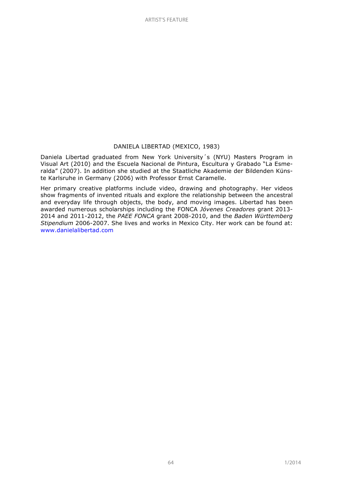## DANIELA LIBERTAD (MEXICO, 1983)

Daniela Libertad graduated from New York University´s (NYU) Masters Program in Visual Art (2010) and the Escuela Nacional de Pintura, Escultura y Grabado "La Esmeralda" (2007). In addition she studied at the Staatliche Akademie der Bildenden Künste Karlsruhe in Germany (2006) with Professor Ernst Caramelle.

Her primary creative platforms include video, drawing and photography. Her videos show fragments of invented rituals and explore the relationship between the ancestral and everyday life through objects, the body, and moving images. Libertad has been awarded numerous scholarships including the FONCA *Jóvenes Creadores* grant 2013- 2014 and 2011-2012, the *PAEE FONCA* grant 2008-2010, and the *Baden Württemberg Stipendium* 2006-2007. She lives and works in Mexico City. Her work can be found at: www.danielalibertad.com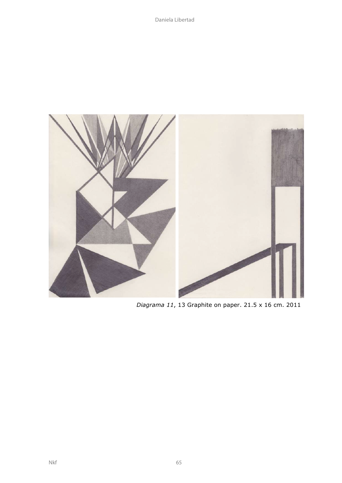

*Diagrama 11*, 13 Graphite on paper. 21.5 x 16 cm. 2011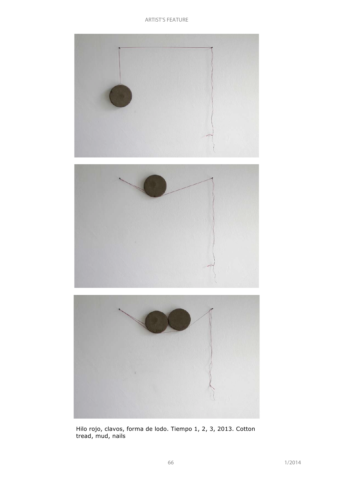ARTIST'S FEATURE



Hilo rojo, clavos, forma de lodo. Tiempo 1, 2, 3, 2013. Cotton tread, mud, nails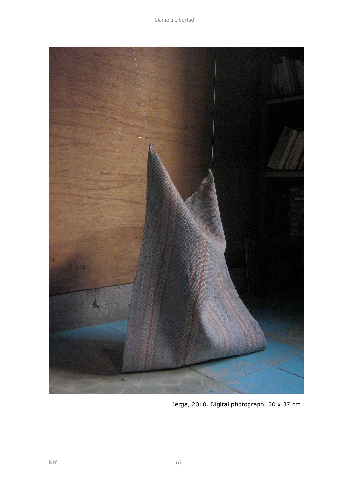

Jerga, 2010. Digital photograph. 50 x 37 cm